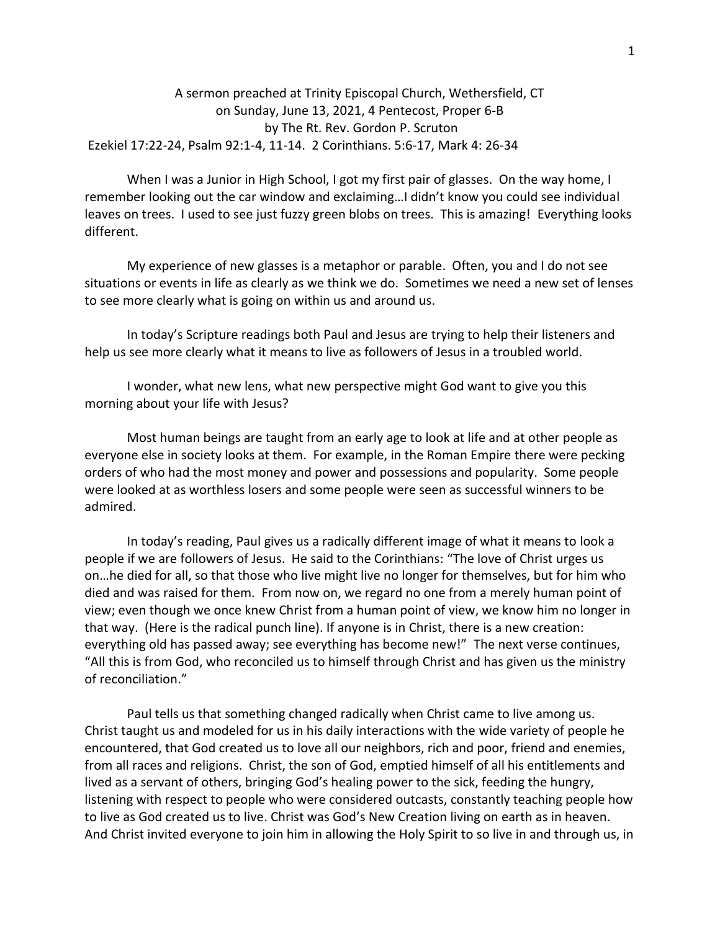## A sermon preached at Trinity Episcopal Church, Wethersfield, CT on Sunday, June 13, 2021, 4 Pentecost, Proper 6-B by The Rt. Rev. Gordon P. Scruton Ezekiel 17:22-24, Psalm 92:1-4, 11-14. 2 Corinthians. 5:6-17, Mark 4: 26-34

When I was a Junior in High School, I got my first pair of glasses. On the way home, I remember looking out the car window and exclaiming…I didn't know you could see individual leaves on trees. I used to see just fuzzy green blobs on trees. This is amazing! Everything looks different.

My experience of new glasses is a metaphor or parable. Often, you and I do not see situations or events in life as clearly as we think we do. Sometimes we need a new set of lenses to see more clearly what is going on within us and around us.

In today's Scripture readings both Paul and Jesus are trying to help their listeners and help us see more clearly what it means to live as followers of Jesus in a troubled world.

I wonder, what new lens, what new perspective might God want to give you this morning about your life with Jesus?

Most human beings are taught from an early age to look at life and at other people as everyone else in society looks at them. For example, in the Roman Empire there were pecking orders of who had the most money and power and possessions and popularity. Some people were looked at as worthless losers and some people were seen as successful winners to be admired.

In today's reading, Paul gives us a radically different image of what it means to look a people if we are followers of Jesus. He said to the Corinthians: "The love of Christ urges us on…he died for all, so that those who live might live no longer for themselves, but for him who died and was raised for them. From now on, we regard no one from a merely human point of view; even though we once knew Christ from a human point of view, we know him no longer in that way. (Here is the radical punch line). If anyone is in Christ, there is a new creation: everything old has passed away; see everything has become new!" The next verse continues, "All this is from God, who reconciled us to himself through Christ and has given us the ministry of reconciliation."

Paul tells us that something changed radically when Christ came to live among us. Christ taught us and modeled for us in his daily interactions with the wide variety of people he encountered, that God created us to love all our neighbors, rich and poor, friend and enemies, from all races and religions. Christ, the son of God, emptied himself of all his entitlements and lived as a servant of others, bringing God's healing power to the sick, feeding the hungry, listening with respect to people who were considered outcasts, constantly teaching people how to live as God created us to live. Christ was God's New Creation living on earth as in heaven. And Christ invited everyone to join him in allowing the Holy Spirit to so live in and through us, in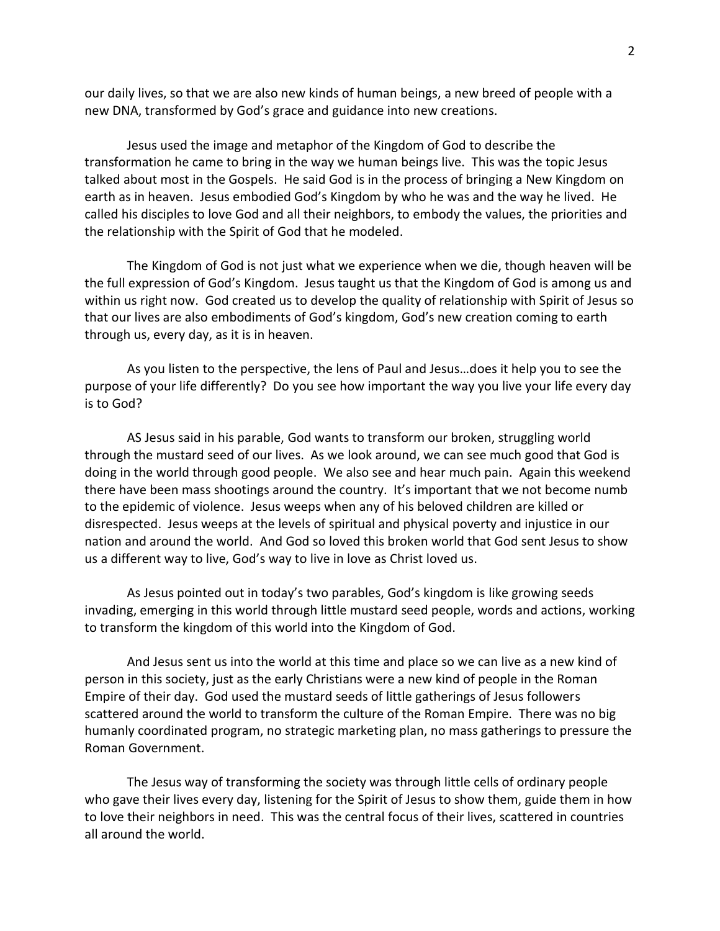our daily lives, so that we are also new kinds of human beings, a new breed of people with a new DNA, transformed by God's grace and guidance into new creations.

Jesus used the image and metaphor of the Kingdom of God to describe the transformation he came to bring in the way we human beings live. This was the topic Jesus talked about most in the Gospels. He said God is in the process of bringing a New Kingdom on earth as in heaven. Jesus embodied God's Kingdom by who he was and the way he lived. He called his disciples to love God and all their neighbors, to embody the values, the priorities and the relationship with the Spirit of God that he modeled.

The Kingdom of God is not just what we experience when we die, though heaven will be the full expression of God's Kingdom. Jesus taught us that the Kingdom of God is among us and within us right now. God created us to develop the quality of relationship with Spirit of Jesus so that our lives are also embodiments of God's kingdom, God's new creation coming to earth through us, every day, as it is in heaven.

As you listen to the perspective, the lens of Paul and Jesus…does it help you to see the purpose of your life differently? Do you see how important the way you live your life every day is to God?

AS Jesus said in his parable, God wants to transform our broken, struggling world through the mustard seed of our lives. As we look around, we can see much good that God is doing in the world through good people. We also see and hear much pain. Again this weekend there have been mass shootings around the country. It's important that we not become numb to the epidemic of violence. Jesus weeps when any of his beloved children are killed or disrespected. Jesus weeps at the levels of spiritual and physical poverty and injustice in our nation and around the world. And God so loved this broken world that God sent Jesus to show us a different way to live, God's way to live in love as Christ loved us.

As Jesus pointed out in today's two parables, God's kingdom is like growing seeds invading, emerging in this world through little mustard seed people, words and actions, working to transform the kingdom of this world into the Kingdom of God.

And Jesus sent us into the world at this time and place so we can live as a new kind of person in this society, just as the early Christians were a new kind of people in the Roman Empire of their day. God used the mustard seeds of little gatherings of Jesus followers scattered around the world to transform the culture of the Roman Empire. There was no big humanly coordinated program, no strategic marketing plan, no mass gatherings to pressure the Roman Government.

The Jesus way of transforming the society was through little cells of ordinary people who gave their lives every day, listening for the Spirit of Jesus to show them, guide them in how to love their neighbors in need. This was the central focus of their lives, scattered in countries all around the world.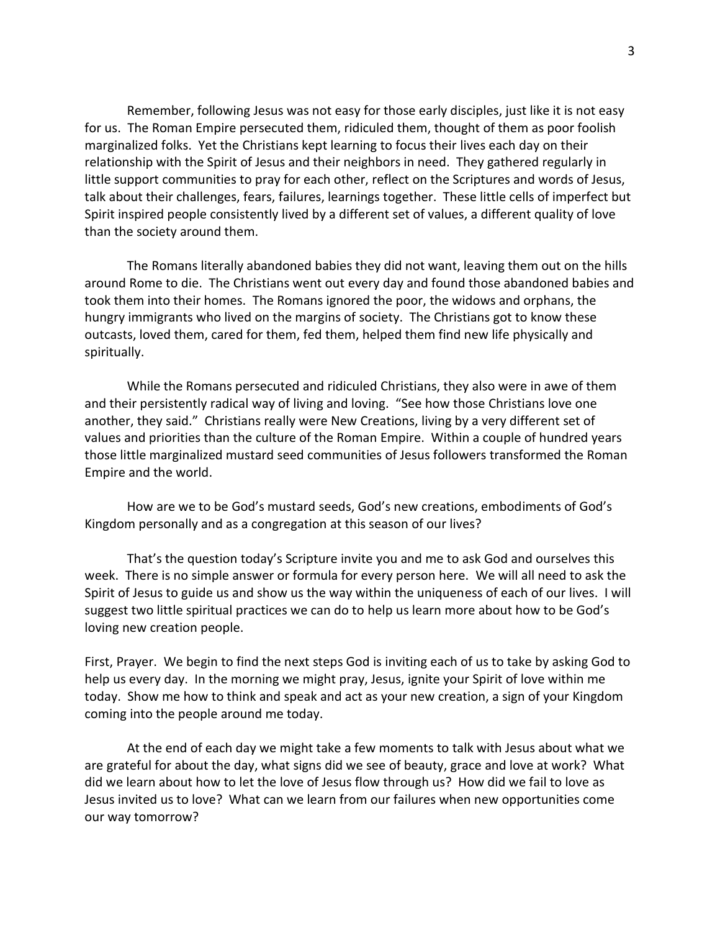Remember, following Jesus was not easy for those early disciples, just like it is not easy for us. The Roman Empire persecuted them, ridiculed them, thought of them as poor foolish marginalized folks. Yet the Christians kept learning to focus their lives each day on their relationship with the Spirit of Jesus and their neighbors in need. They gathered regularly in little support communities to pray for each other, reflect on the Scriptures and words of Jesus, talk about their challenges, fears, failures, learnings together. These little cells of imperfect but Spirit inspired people consistently lived by a different set of values, a different quality of love than the society around them.

The Romans literally abandoned babies they did not want, leaving them out on the hills around Rome to die. The Christians went out every day and found those abandoned babies and took them into their homes. The Romans ignored the poor, the widows and orphans, the hungry immigrants who lived on the margins of society. The Christians got to know these outcasts, loved them, cared for them, fed them, helped them find new life physically and spiritually.

While the Romans persecuted and ridiculed Christians, they also were in awe of them and their persistently radical way of living and loving. "See how those Christians love one another, they said." Christians really were New Creations, living by a very different set of values and priorities than the culture of the Roman Empire. Within a couple of hundred years those little marginalized mustard seed communities of Jesus followers transformed the Roman Empire and the world.

How are we to be God's mustard seeds, God's new creations, embodiments of God's Kingdom personally and as a congregation at this season of our lives?

That's the question today's Scripture invite you and me to ask God and ourselves this week. There is no simple answer or formula for every person here. We will all need to ask the Spirit of Jesus to guide us and show us the way within the uniqueness of each of our lives. I will suggest two little spiritual practices we can do to help us learn more about how to be God's loving new creation people.

First, Prayer. We begin to find the next steps God is inviting each of us to take by asking God to help us every day. In the morning we might pray, Jesus, ignite your Spirit of love within me today. Show me how to think and speak and act as your new creation, a sign of your Kingdom coming into the people around me today.

At the end of each day we might take a few moments to talk with Jesus about what we are grateful for about the day, what signs did we see of beauty, grace and love at work? What did we learn about how to let the love of Jesus flow through us? How did we fail to love as Jesus invited us to love? What can we learn from our failures when new opportunities come our way tomorrow?